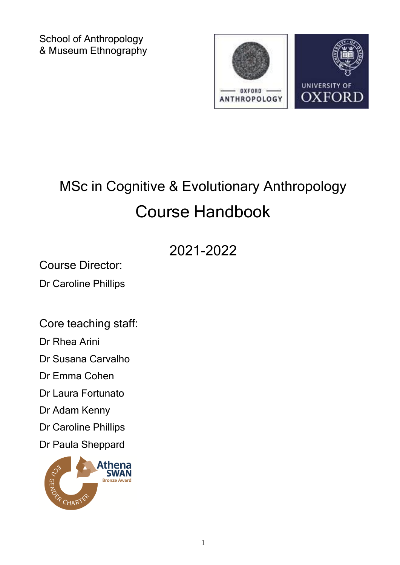School of Anthropology & Museum Ethnography



# MSc in Cognitive & Evolutionary Anthropology Course Handbook

## 2021-2022

Course Director:

Dr Caroline Phillips

Core teaching staff:

Dr Rhea Arini

Dr Susana Carvalho

Dr Emma Cohen

Dr Laura Fortunato

Dr Adam Kenny

Dr Caroline Phillips

Dr Paula Sheppard

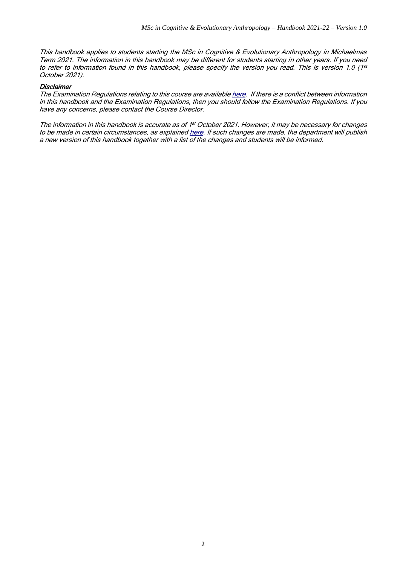This handbook applies to students starting the MSc in Cognitive & Evolutionary Anthropology in Michaelmas Term 2021. The information in this handbook may be different for students starting in other years. If you need to refer to information found in this handbook, please specify the version you read. This is version 1.0 (1st October 2021).

#### **Disclaimer**

The Examination Regulations relating to this course are availabl[e here.](https://examregs.admin.ox.ac.uk/Regulation?code=mosbcicandevolanth&srchYear=2020&srchTerm=1&year=2019&term=1) If there is a conflict between information in this handbook and the Examination Regulations, then you should follow the Examination Regulations. If you have any concerns, please contact the Course Director.

The information in this handbook is accurate as of 1<sup>st</sup> October 2021. However, it may be necessary for changes to be made in certain circumstances, as explaine[d here.](https://www.ox.ac.uk/admissions/graduate/courses/changes-to-courses) If such changes are made, the department will publish a new version of this handbook together with a list of the changes and students will be informed.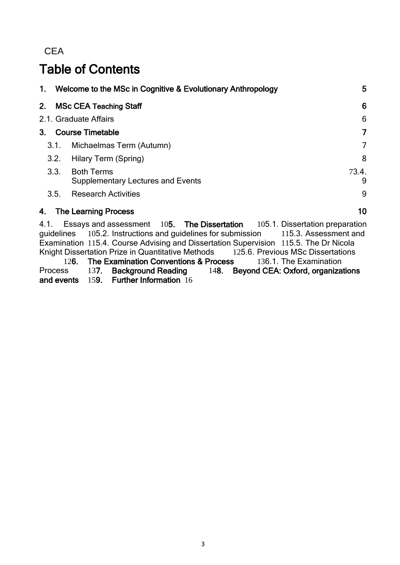**CEA** 

## Table of Contents

|      |                                | 1. Welcome to the MSc in Cognitive & Evolutionary Anthropology                                                                                                          | 5          |  |  |
|------|--------------------------------|-------------------------------------------------------------------------------------------------------------------------------------------------------------------------|------------|--|--|
|      | 6<br>2. MSc CEA Teaching Staff |                                                                                                                                                                         |            |  |  |
|      | 2.1. Graduate Affairs          |                                                                                                                                                                         |            |  |  |
|      | 7<br>3. Course Timetable       |                                                                                                                                                                         |            |  |  |
|      | 3.1.                           | Michaelmas Term (Autumn)                                                                                                                                                | 7          |  |  |
|      | 3.2.                           | Hilary Term (Spring)                                                                                                                                                    | 8          |  |  |
|      | 3.3.                           | <b>Both Terms</b><br><b>Supplementary Lectures and Events</b>                                                                                                           | 73.4.<br>9 |  |  |
|      | 3.5.                           | <b>Research Activities</b>                                                                                                                                              | 9          |  |  |
|      |                                | 4. The Learning Process                                                                                                                                                 | 10         |  |  |
| 4.1. |                                | Essays and assessment 105. The Dissertation<br>105.1. Dissertation preparation<br>quidelines 105.2 Instructions and quidelines for submission<br>$115.3$ Assessment and |            |  |  |

<span id="page-2-0"></span>guidelines 105.2. Instructions and guidelines for submission 115.3. Assessment and Examination 115.4. Course Advising and Dissertation Supervision 115.5. The Dr Nicola Knight Dissertation Prize in Quantitative Methods 125.6. Previous MSc Dissertations 126. The Examination Conventions & Process 136.1. The Examination<br>ss 137. Background Reading 148. Beyond CEA: Oxford, organiza Process 137. Background Reading 148. Beyond CEA: Oxford, organizations and events 159. Further Information 16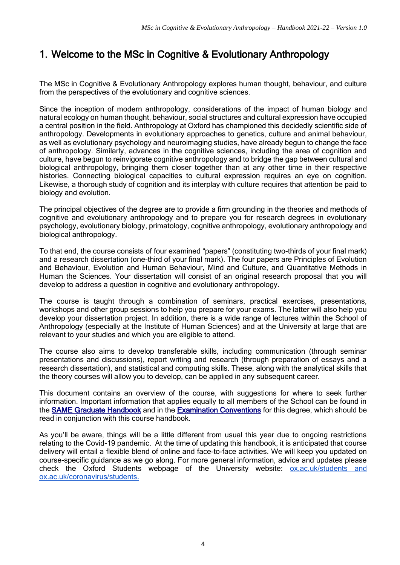#### 1. Welcome to the MSc in Cognitive & Evolutionary Anthropology

The MSc in Cognitive & Evolutionary Anthropology explores human thought, behaviour, and culture from the perspectives of the evolutionary and cognitive sciences.

Since the inception of modern anthropology, considerations of the impact of human biology and natural ecology on human thought, behaviour, social structures and cultural expression have occupied a central position in the field. Anthropology at Oxford has championed this decidedly scientific side of anthropology. Developments in evolutionary approaches to genetics, culture and animal behaviour, as well as evolutionary psychology and neuroimaging studies, have already begun to change the face of anthropology. Similarly, advances in the cognitive sciences, including the area of cognition and culture, have begun to reinvigorate cognitive anthropology and to bridge the gap between cultural and biological anthropology, bringing them closer together than at any other time in their respective histories. Connecting biological capacities to cultural expression requires an eye on cognition. Likewise, a thorough study of cognition and its interplay with culture requires that attention be paid to biology and evolution.

The principal objectives of the degree are to provide a firm grounding in the theories and methods of cognitive and evolutionary anthropology and to prepare you for research degrees in evolutionary psychology, evolutionary biology, primatology, cognitive anthropology, evolutionary anthropology and biological anthropology.

To that end, the course consists of four examined "papers" (constituting two-thirds of your final mark) and a research dissertation (one-third of your final mark). The four papers are Principles of Evolution and Behaviour, Evolution and Human Behaviour, Mind and Culture, and Quantitative Methods in Human the Sciences. Your dissertation will consist of an original research proposal that you will develop to address a question in cognitive and evolutionary anthropology.

The course is taught through a combination of seminars, practical exercises, presentations, workshops and other group sessions to help you prepare for your exams. The latter will also help you develop your dissertation project. In addition, there is a wide range of lectures within the School of Anthropology (especially at the Institute of Human Sciences) and at the University at large that are relevant to your studies and which you are eligible to attend.

The course also aims to develop transferable skills, including communication (through seminar presentations and discussions), report writing and research (through preparation of essays and a research dissertation), and statistical and computing skills. These, along with the analytical skills that the theory courses will allow you to develop, can be applied in any subsequent career.

This document contains an overview of the course, with suggestions for where to seek further information. Important information that applies equally to all members of the School can be found in the [SAME Graduate Handbook](https://www.isca.ox.ac.uk/graduate-handbook#/) and in the [Examination Conventions](https://www.anthro.ox.ac.uk/examination-conventions-and-marking-criteria) for this degree, which should be read in conjunction with this course handbook.

As you'll be aware, things will be a little different from usual this year due to ongoing restrictions relating to the Covid-19 pandemic. At the time of updating this handbook, it is anticipated that course delivery will entail a flexible blend of online and face-to-face activities. We will keep you updated on course-specific guidance as we go along. For more general information, advice and updates please check the Oxford Students webpage of the University website: [ox.ac.uk/students and](http://ox.ac.uk/students%20and%20ox.ac.uk/coronavirus/students.)  [ox.ac.uk/coronavirus/students.](http://ox.ac.uk/students%20and%20ox.ac.uk/coronavirus/students.)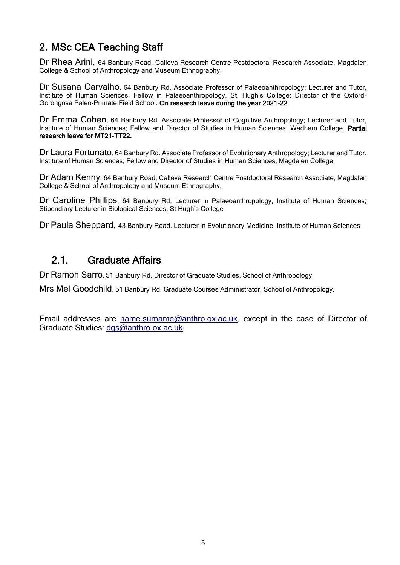## <span id="page-4-0"></span>2. MSc CEA Teaching Staff

Dr Rhea Arini, 64 Banbury Road, Calleva Research Centre Postdoctoral Research Associate, Magdalen College & School of Anthropology and Museum Ethnography.

Dr Susana Carvalho, 64 Banbury Rd. Associate Professor of Palaeoanthropology; Lecturer and Tutor, Institute of Human Sciences; Fellow in Palaeoanthropology, St. Hugh's College; Director of the Oxford-Gorongosa Paleo-Primate Field School. On research leave during the year 2021-22

Dr Emma Cohen, 64 Banbury Rd. Associate Professor of Cognitive Anthropology; Lecturer and Tutor, Institute of Human Sciences; Fellow and Director of Studies in Human Sciences, Wadham College. Partial research leave for MT21-TT22.

Dr Laura Fortunato, 64 Banbury Rd. Associate Professor of Evolutionary Anthropology; Lecturer and Tutor, Institute of Human Sciences; Fellow and Director of Studies in Human Sciences, Magdalen College.

Dr Adam Kenny, 64 Banbury Road, Calleva Research Centre Postdoctoral Research Associate, Magdalen College & School of Anthropology and Museum Ethnography.

Dr Caroline Phillips, 64 Banbury Rd. Lecturer in Palaeoanthropology, Institute of Human Sciences; Stipendiary Lecturer in Biological Sciences, St Hugh's College

Dr Paula Sheppard, 43 Banbury Road. Lecturer in Evolutionary Medicine, Institute of Human Sciences

#### 2.1. Graduate Affairs

Dr Ramon Sarro, 51 Banbury Rd. Director of Graduate Studies, School of Anthropology.

Mrs Mel Goodchild, 51 Banbury Rd. Graduate Courses Administrator, School of Anthropology.

Email addresses are [name.surname@anthro.ox.ac.uk,](mailto:name.surname@anthro.ox.ac.uk) except in the case of Director of Graduate Studies: [dgs@anthro.ox.ac.uk](mailto:dgs@anthro.ox.ac.uk)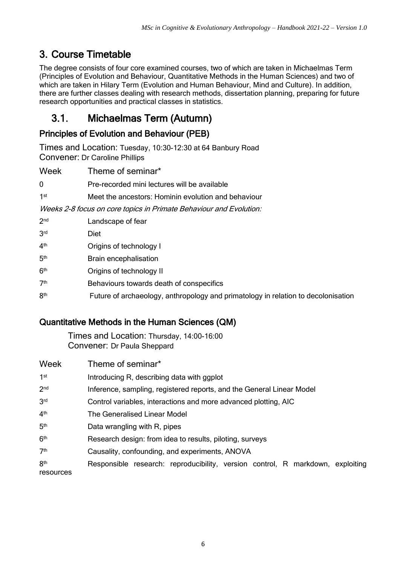## <span id="page-5-0"></span>3. Course Timetable

The degree consists of four core examined courses, two of which are taken in Michaelmas Term (Principles of Evolution and Behaviour, Quantitative Methods in the Human Sciences) and two of which are taken in Hilary Term (Evolution and Human Behaviour, Mind and Culture). In addition, there are further classes dealing with research methods, dissertation planning, preparing for future research opportunities and practical classes in statistics.

### <span id="page-5-1"></span>3.1. Michaelmas Term (Autumn)

#### Principles of Evolution and Behaviour (PEB)

Times and Location: Tuesday, 10:30-12:30 at 64 Banbury Road Convener: Dr Caroline Phillips

Week Theme of seminar\*

|  | Pre-recorded mini lectures will be available |  |  |
|--|----------------------------------------------|--|--|
|--|----------------------------------------------|--|--|

 $1st$ Meet the ancestors: Hominin evolution and behaviour

Weeks 2-8 focus on core topics in Primate Behaviour and Evolution:

 $2<sub>nd</sub>$ Landscape of fear **3rd Diet** 4<sup>th</sup> Origins of technology I 5<sup>th</sup> **Brain encephalisation**  $6<sup>th</sup>$ Origins of technology II  $7<sup>th</sup>$ Behaviours towards death of conspecifics **8th** Future of archaeology, anthropology and primatology in relation to decolonisation

#### Quantitative Methods in the Human Sciences (QM)

Times and Location: Thursday, 14:00-16:00 Convener: Dr Paula Sheppard

| Week                         | Theme of seminar*                                                              |
|------------------------------|--------------------------------------------------------------------------------|
| 1 <sup>st</sup>              | Introducing R, describing data with ggplot                                     |
| 2 <sub>nd</sub>              | Inference, sampling, registered reports, and the General Linear Model          |
| 3 <sup>rd</sup>              | Control variables, interactions and more advanced plotting, AIC                |
| 4 <sup>th</sup>              | The Generalised Linear Model                                                   |
| 5 <sup>th</sup>              | Data wrangling with R, pipes                                                   |
| 6 <sup>th</sup>              | Research design: from idea to results, piloting, surveys                       |
| 7 <sup>th</sup>              | Causality, confounding, and experiments, ANOVA                                 |
| 8 <sup>th</sup><br>resources | Responsible research: reproducibility, version control, R markdown, exploiting |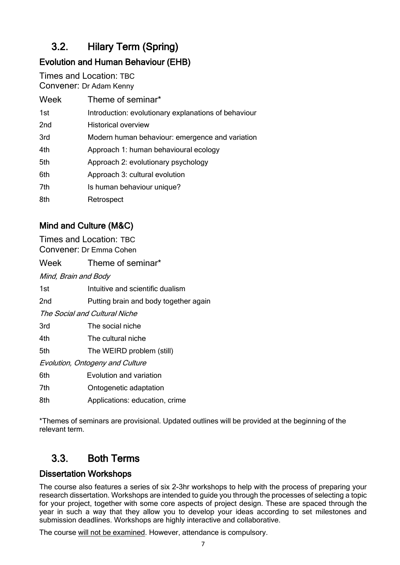## <span id="page-6-0"></span>3.2. Hilary Term (Spring)

### Evolution and Human Behaviour (EHB)

Times and Location: TBC Convener: Dr Adam Kenny

| Week            | Theme of seminar*                                    |
|-----------------|------------------------------------------------------|
| 1st             | Introduction: evolutionary explanations of behaviour |
| 2 <sub>nd</sub> | <b>Historical overview</b>                           |
| 3rd             | Modern human behaviour: emergence and variation      |
| 4th             | Approach 1: human behavioural ecology                |
| 5th             | Approach 2: evolutionary psychology                  |
| 6th             | Approach 3: cultural evolution                       |
| 7th             | Is human behaviour unique?                           |
| 8th             | Retrospect                                           |

#### Mind and Culture (M&C)

Times and Location: TBC Convener: Dr Emma Cohen

Week Theme of seminar\*

Mind, Brain and Body

- 1st Intuitive and scientific dualism
- 2nd Putting brain and body together again

The Social and Cultural Niche

- 3rd The social niche
- 4th The cultural niche
- 5th The WEIRD problem (still)

Evolution, Ontogeny and Culture

- 6th Evolution and variation
- 7th Ontogenetic adaptation
- 8th Applications: education, crime

\*Themes of seminars are provisional. Updated outlines will be provided at the beginning of the relevant term.

## 3.3. Both Terms

#### Dissertation Workshops

The course also features a series of six 2-3hr workshops to help with the process of preparing your research dissertation. Workshops are intended to guide you through the processes of selecting a topic for your project, together with some core aspects of project design. These are spaced through the year in such a way that they allow you to develop your ideas according to set milestones and submission deadlines. Workshops are highly interactive and collaborative.

The course will not be examined. However, attendance is compulsory.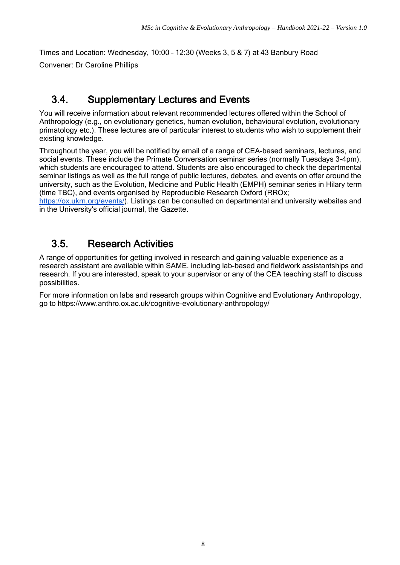Times and Location: Wednesday, 10:00 – 12:30 (Weeks 3, 5 & 7) at 43 Banbury Road Convener: Dr Caroline Phillips

#### <span id="page-7-0"></span>3.4. Supplementary Lectures and Events

You will receive information about relevant recommended lectures offered within the School of Anthropology (e.g., on evolutionary genetics, human evolution, behavioural evolution, evolutionary primatology etc.). These lectures are of particular interest to students who wish to supplement their existing knowledge.

Throughout the year, you will be notified by email of a range of CEA-based seminars, lectures, and social events. These include the Primate Conversation seminar series (normally Tuesdays 3-4pm), which students are encouraged to attend. Students are also encouraged to check the departmental seminar listings as well as the full range of public lectures, debates, and events on offer around the university, such as the Evolution, Medicine and Public Health (EMPH) seminar series in Hilary term (time TBC), and events organised by Reproducible Research Oxford (RROx;

[https://ox.ukrn.org/events/\)](https://ox.ukrn.org/events/). Listings can be consulted on departmental and university websites and in the University's official journal, the Gazette.

## <span id="page-7-1"></span>3.5. Research Activities

A range of opportunities for getting involved in research and gaining valuable experience as a research assistant are available within SAME, including lab-based and fieldwork assistantships and research. If you are interested, speak to your supervisor or any of the CEA teaching staff to discuss possibilities.

For more information on labs and research groups within Cognitive and Evolutionary Anthropology, go to https://www.anthro.ox.ac.uk/cognitive-evolutionary-anthropology/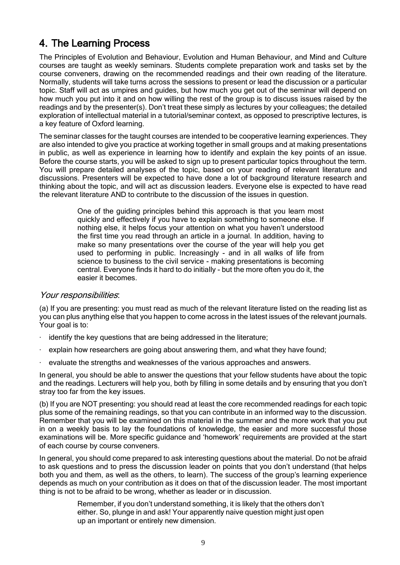#### <span id="page-8-0"></span>4. The Learning Process

The Principles of Evolution and Behaviour, Evolution and Human Behaviour, and Mind and Culture courses are taught as weekly seminars. Students complete preparation work and tasks set by the course conveners, drawing on the recommended readings and their own reading of the literature. Normally, students will take turns across the sessions to present or lead the discussion or a particular topic. Staff will act as umpires and guides, but how much you get out of the seminar will depend on how much you put into it and on how willing the rest of the group is to discuss issues raised by the readings and by the presenter(s). Don't treat these simply as lectures by your colleagues; the detailed exploration of intellectual material in a tutorial/seminar context, as opposed to prescriptive lectures, is a key feature of Oxford learning.

The seminar classes for the taught courses are intended to be cooperative learning experiences. They are also intended to give you practice at working together in small groups and at making presentations in public, as well as experience in learning how to identify and explain the key points of an issue. Before the course starts, you will be asked to sign up to present particular topics throughout the term. You will prepare detailed analyses of the topic, based on your reading of relevant literature and discussions. Presenters will be expected to have done a lot of background literature research and thinking about the topic, and will act as discussion leaders. Everyone else is expected to have read the relevant literature AND to contribute to the discussion of the issues in question.

> One of the guiding principles behind this approach is that you learn most quickly and effectively if you have to explain something to someone else. If nothing else, it helps focus your attention on what you haven't understood the first time you read through an article in a journal. In addition, having to make so many presentations over the course of the year will help you get used to performing in public. Increasingly - and in all walks of life from science to business to the civil service - making presentations is becoming central. Everyone finds it hard to do initially - but the more often you do it, the easier it becomes.

#### Your responsibilities:

(a) If you are presenting: you must read as much of the relevant literature listed on the reading list as you can plus anything else that you happen to come across in the latest issues of the relevant journals. Your goal is to:

- identify the key questions that are being addressed in the literature;
- $\cdot$  explain how researchers are going about answering them, and what they have found;
- · evaluate the strengths and weaknesses of the various approaches and answers.

In general, you should be able to answer the questions that your fellow students have about the topic and the readings. Lecturers will help you, both by filling in some details and by ensuring that you don't stray too far from the key issues.

(b) If you are NOT presenting: you should read at least the core recommended readings for each topic plus some of the remaining readings, so that you can contribute in an informed way to the discussion. Remember that you will be examined on this material in the summer and the more work that you put in on a weekly basis to lay the foundations of knowledge, the easier and more successful those examinations will be. More specific guidance and 'homework' requirements are provided at the start of each course by course conveners.

In general, you should come prepared to ask interesting questions about the material. Do not be afraid to ask questions and to press the discussion leader on points that you don't understand (that helps both you and them, as well as the others, to learn). The success of the group's learning experience depends as much on your contribution as it does on that of the discussion leader. The most important thing is not to be afraid to be wrong, whether as leader or in discussion.

> Remember, if you don't understand something, it is likely that the others don't either. So, plunge in and ask! Your apparently naive question might just open up an important or entirely new dimension.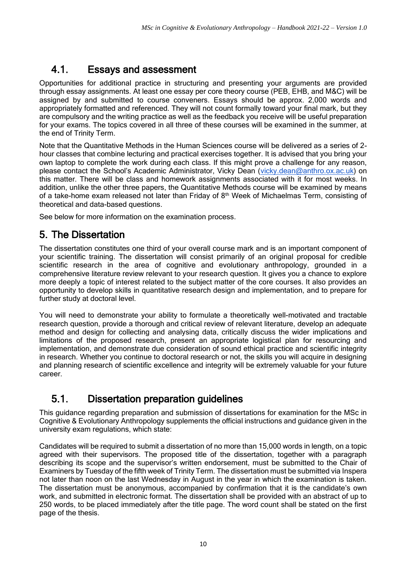## 4.1. Essays and assessment

Opportunities for additional practice in structuring and presenting your arguments are provided through essay assignments. At least one essay per core theory course (PEB, EHB, and M&C) will be assigned by and submitted to course conveners. Essays should be approx. 2,000 words and appropriately formatted and referenced. They will not count formally toward your final mark, but they are compulsory and the writing practice as well as the feedback you receive will be useful preparation for your exams. The topics covered in all three of these courses will be examined in the summer, at the end of Trinity Term.

Note that the Quantitative Methods in the Human Sciences course will be delivered as a series of 2 hour classes that combine lecturing and practical exercises together. It is advised that you bring your own laptop to complete the work during each class. If this might prove a challenge for any reason, please contact the School's Academic Administrator, Vicky Dean ([vicky.dean@anthro.ox.ac.uk\)](mailto:vicky.dean@anthro.ox.ac.uk) on this matter. There will be class and homework assignments associated with it for most weeks. In addition, unlike the other three papers, the Quantitative Methods course will be examined by means of a take-home exam released not later than Friday of  $8<sup>th</sup>$  Week of Michaelmas Term, consisting of theoretical and data-based questions.

See below for more information on the examination process.

### 5. The Dissertation

The dissertation constitutes one third of your overall course mark and is an important component of your scientific training. The dissertation will consist primarily of an original proposal for credible scientific research in the area of cognitive and evolutionary anthropology, grounded in a comprehensive literature review relevant to your research question. It gives you a chance to explore more deeply a topic of interest related to the subject matter of the core courses. It also provides an opportunity to develop skills in quantitative research design and implementation, and to prepare for further study at doctoral level.

You will need to demonstrate your ability to formulate a theoretically well-motivated and tractable research question, provide a thorough and critical review of relevant literature, develop an adequate method and design for collecting and analysing data, critically discuss the wider implications and limitations of the proposed research, present an appropriate logistical plan for resourcing and implementation, and demonstrate due consideration of sound ethical practice and scientific integrity in research. Whether you continue to doctoral research or not, the skills you will acquire in designing and planning research of scientific excellence and integrity will be extremely valuable for your future career.

### 5.1. Dissertation preparation guidelines

This guidance regarding preparation and submission of dissertations for examination for the MSc in Cognitive & Evolutionary Anthropology supplements the official instructions and guidance given in the university exam regulations, which state:

Candidates will be required to submit a dissertation of no more than 15,000 words in length, on a topic agreed with their supervisors. The proposed title of the dissertation, together with a paragraph describing its scope and the supervisor's written endorsement, must be submitted to the Chair of Examiners by Tuesday of the fifth week of Trinity Term. The dissertation must be submitted via Inspera not later than noon on the last Wednesday in August in the year in which the examination is taken. The dissertation must be anonymous, accompanied by confirmation that it is the candidate's own work, and submitted in electronic format. The dissertation shall be provided with an abstract of up to 250 words, to be placed immediately after the title page. The word count shall be stated on the first page of the thesis.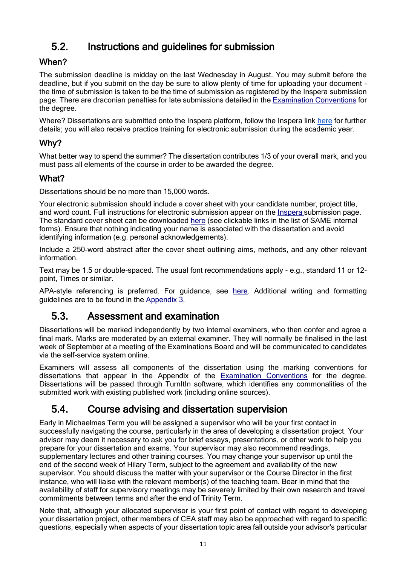## 5.2. Instructions and guidelines for submission

#### When?

The submission deadline is midday on the last Wednesday in August. You may submit before the deadline, but if you submit on the day be sure to allow plenty of time for uploading your document the time of submission is taken to be the time of submission as registered by the Inspera submission page. There are draconian penalties for late submissions detailed in the [Examination Conventions](https://www.anthro.ox.ac.uk/examination-conventions-and-marking-criteria) for the degree.

Where? Dissertations are submitted onto the Inspera platform, follow the Inspera link [here](https://www.ox.ac.uk/students/academic/exams/open-book/trinity-term) for further details; you will also receive practice training for electronic submission during the academic year.

#### Why?

What better way to spend the summer? The dissertation contributes 1/3 of your overall mark, and you must pass all elements of the course in order to be awarded the degree.

#### What?

Dissertations should be no more than 15,000 words.

Your electronic submission should include a cover sheet with your candidate number, project title, and word count. Full instructions for electronic submission appear on the [Inspera](https://www.ox.ac.uk/students/academic/exams/open-book/trinity-term) submission page. The standard cover sheet can be downloaded [here](https://www.anthro.ox.ac.uk/forms) (see clickable links in the list of SAME internal forms). Ensure that nothing indicating your name is associated with the dissertation and avoid identifying information (e.g. personal acknowledgements).

Include a 250-word abstract after the cover sheet outlining aims, methods, and any other relevant information.

Text may be 1.5 or double-spaced. The usual font recommendations apply - e.g., standard 11 or 12 point, Times or similar.

APA-style referencing is preferred. For guidance, see [here.](https://apastyle.apa.org/) Additional writing and formatting guidelines are to be found in the [Appendix 3.](https://www.anthro.ox.ac.uk/appendix-3-writing-guidelines)

#### 5.3. Assessment and examination

Dissertations will be marked independently by two internal examiners, who then confer and agree a final mark. Marks are moderated by an external examiner. They will normally be finalised in the last week of September at a meeting of the Examinations Board and will be communicated to candidates via the self-service system online.

Examiners will assess all components of the dissertation using the marking conventions for dissertations that appear in the Appendix of the [Examination Conventions](https://www.anthro.ox.ac.uk/examination-conventions-and-marking-criteria) for the degree. Dissertations will be passed through TurnItIn software, which identifies any commonalities of the submitted work with existing published work (including online sources).

#### 5.4. Course advising and dissertation supervision

Early in Michaelmas Term you will be assigned a supervisor who will be your first contact in successfully navigating the course, particularly in the area of developing a dissertation project. Your advisor may deem it necessary to ask you for brief essays, presentations, or other work to help you prepare for your dissertation and exams. Your supervisor may also recommend readings, supplementary lectures and other training courses. You may change your supervisor up until the end of the second week of Hilary Term, subject to the agreement and availability of the new supervisor. You should discuss the matter with your supervisor or the Course Director in the first instance, who will liaise with the relevant member(s) of the teaching team. Bear in mind that the availability of staff for supervisory meetings may be severely limited by their own research and travel commitments between terms and after the end of Trinity Term.

Note that, although your allocated supervisor is your first point of contact with regard to developing your dissertation project, other members of CEA staff may also be approached with regard to specific questions, especially when aspects of your dissertation topic area fall outside your advisor's particular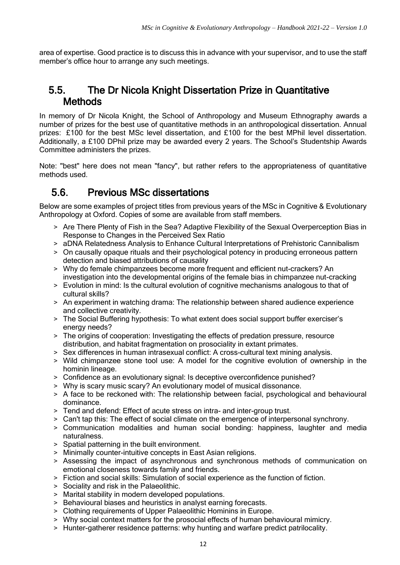area of expertise. Good practice is to discuss this in advance with your supervisor, and to use the staff member's office hour to arrange any such meetings.

#### 5.5. The Dr Nicola Knight Dissertation Prize in Quantitative **Methods**

In memory of Dr Nicola Knight, the School of Anthropology and Museum Ethnography awards a number of prizes for the best use of quantitative methods in an anthropological dissertation. Annual prizes: £100 for the best MSc level dissertation, and £100 for the best MPhil level dissertation. Additionally, a £100 DPhil prize may be awarded every 2 years. The School's Studentship Awards Committee administers the prizes.

Note: "best" here does not mean "fancy", but rather refers to the appropriateness of quantitative methods used.

#### 5.6. Previous MSc dissertations

Below are some examples of project titles from previous years of the MSc in Cognitive & Evolutionary Anthropology at Oxford. Copies of some are available from staff members.

- > Are There Plenty of Fish in the Sea? Adaptive Flexibility of the Sexual Overperception Bias in Response to Changes in the Perceived Sex Ratio
- > aDNA Relatedness Analysis to Enhance Cultural Interpretations of Prehistoric Cannibalism
- > On causally opaque rituals and their psychological potency in producing erroneous pattern detection and biased attributions of causality
- > Why do female chimpanzees become more frequent and efficient nut-crackers? An investigation into the developmental origins of the female bias in chimpanzee nut-cracking
- > Evolution in mind: Is the cultural evolution of cognitive mechanisms analogous to that of cultural skills?
- > An experiment in watching drama: The relationship between shared audience experience and collective creativity.
- > The Social Buffering hypothesis: To what extent does social support buffer exerciser's energy needs?
- > The origins of cooperation: Investigating the effects of predation pressure, resource distribution, and habitat fragmentation on prosociality in extant primates.
- > Sex differences in human intrasexual conflict: A cross-cultural text mining analysis.
- > Wild chimpanzee stone tool use: A model for the cognitive evolution of ownership in the hominin lineage.
- > Confidence as an evolutionary signal: Is deceptive overconfidence punished?
- > Why is scary music scary? An evolutionary model of musical dissonance.
- > A face to be reckoned with: The relationship between facial, psychological and behavioural dominance.
- > Tend and defend: Effect of acute stress on intra- and inter-group trust.
- > Can't tap this: The effect of social climate on the emergence of interpersonal synchrony.
- > Communication modalities and human social bonding: happiness, laughter and media naturalness.
- > Spatial patterning in the built environment.
- > Minimally counter-intuitive concepts in East Asian religions.
- > Assessing the impact of asynchronous and synchronous methods of communication on emotional closeness towards family and friends.
- > Fiction and social skills: Simulation of social experience as the function of fiction.
- > Sociality and risk in the Palaeolithic.
- > Marital stability in modern developed populations.
- > Behavioural biases and heuristics in analyst earning forecasts.
- > Clothing requirements of Upper Palaeolithic Hominins in Europe.
- > Why social context matters for the prosocial effects of human behavioural mimicry.
- > Hunter-gatherer residence patterns: why hunting and warfare predict patrilocality.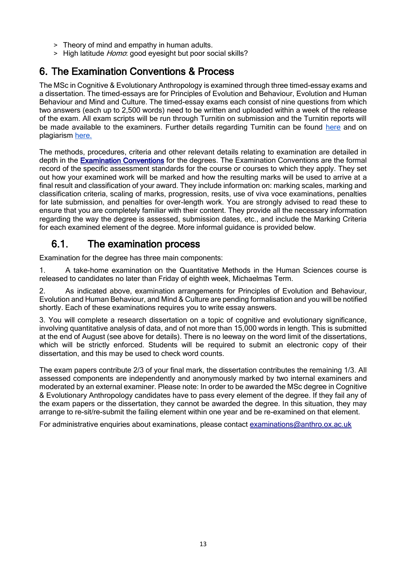- > Theory of mind and empathy in human adults.
- > High latitude *Homo*: good eyesight but poor social skills?

#### 6. The Examination Conventions & Process

The MSc in Cognitive & Evolutionary Anthropology is examined through three timed-essay exams and a dissertation. The timed-essays are for Principles of Evolution and Behaviour, Evolution and Human Behaviour and Mind and Culture. The timed-essay exams each consist of nine questions from which two answers (each up to 2,500 words) need to be written and uploaded within a week of the release of the exam. All exam scripts will be run through Turnitin on submission and the Turnitin reports will be made available to the examiners. Further details regarding Turnitin can be found [here](https://help.it.ox.ac.uk/turnitin#collapse2136236) and on plagiarism [here.](https://www.google.com/url?q=https://www.ox.ac.uk/students/academic/guidance/skills/plagiarism&sa=D&source=editors&ust=1632749425961000&usg=AOvVaw0-F4rR9CTahzRz3xS19Dqv)

The methods, procedures, criteria and other relevant details relating to examination are detailed in depth in the **Examination Conventions** for the degrees. The [Examination Conventions](https://www.anthro.ox.ac.uk/examination-conventions-and-marking-criteria) are the formal record of the specific assessment standards for the course or courses to which they apply. They set out how your examined work will be marked and how the resulting marks will be used to arrive at a final result and classification of your award. They include information on: marking scales, marking and classification criteria, scaling of marks, progression, resits, use of viva voce examinations, penalties for late submission, and penalties for over-length work. You are strongly advised to read these to ensure that you are completely familiar with their content. They provide all the necessary information regarding the way the degree is assessed, submission dates, etc., and include the Marking Criteria for each examined element of the degree. More informal guidance is provided below.

#### 6.1. The examination process

Examination for the degree has three main components:

1. A take-home examination on the Quantitative Methods in the Human Sciences course is released to candidates no later than Friday of eighth week, Michaelmas Term.

2. As indicated above, examination arrangements for Principles of Evolution and Behaviour, Evolution and Human Behaviour, and Mind & Culture are pending formalisation and you will be notified shortly. Each of these examinations requires you to write essay answers.

3. You will complete a research dissertation on a topic of cognitive and evolutionary significance, involving quantitative analysis of data, and of not more than 15,000 words in length. This is submitted at the end of August (see above for details). There is no leeway on the word limit of the dissertations, which will be strictly enforced. Students will be required to submit an electronic copy of their dissertation, and this may be used to check word counts.

The exam papers contribute 2/3 of your final mark, the dissertation contributes the remaining 1/3. All assessed components are independently and anonymously marked by two internal examiners and moderated by an external examiner. Please note: In order to be awarded the MSc degree in Cognitive & Evolutionary Anthropology candidates have to pass every element of the degree. If they fail any of the exam papers or the dissertation, they cannot be awarded the degree. In this situation, they may arrange to re-sit/re-submit the failing element within one year and be re-examined on that element.

For administrative enquiries about examinations, please contact [examinations@anthro.ox.ac.uk](mailto:examinations@anthro.ox.ac.uk)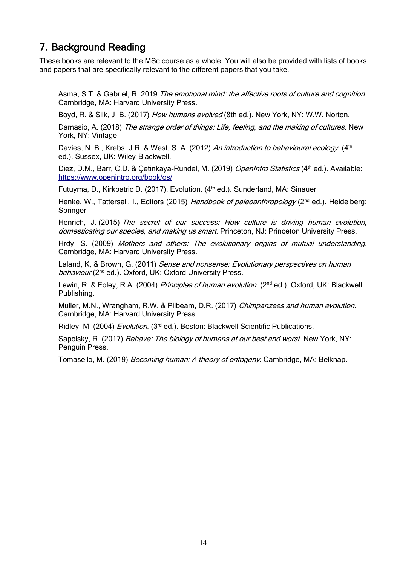#### 7. Background Reading

These books are relevant to the MSc course as a whole. You will also be provided with lists of books and papers that are specifically relevant to the different papers that you take.

Asma, S.T. & Gabriel, R. 2019, The emotional mind: the affective roots of culture and cognition. Cambridge, MA: Harvard University Press.

Boyd, R. & Silk, J. B. (2017) How humans evolved (8th ed.). New York, NY: W.W. Norton.

Damasio, A. (2018) The strange order of things: Life, feeling, and the making of cultures. New York, NY: Vintage.

Davies, N. B., Krebs, J.R. & West, S. A. (2012) An introduction to behavioural ecology. (4<sup>th</sup> ed.). Sussex, UK: Wiley-Blackwell.

Diez, D.M., Barr, C.D. & Çetinkaya-Rundel, M. (2019) OpenIntro Statistics (4<sup>th</sup> ed.). Available: <https://www.openintro.org/book/os/>

Futuyma, D., Kirkpatric D. (2017). Evolution. (4<sup>th</sup> ed.). Sunderland, MA: Sinauer

Henke, W., Tattersall, I., Editors (2015) Handbook of paleoanthropology (2<sup>nd</sup> ed.). Heidelberg: **Springer** 

Henrich, J. (2015) The secret of our success: How culture is driving human evolution, domesticating our species, and making us smart. Princeton, NJ: Princeton University Press.

Hrdy, S. (2009) Mothers and others: The evolutionary origins of mutual understanding. Cambridge, MA: Harvard University Press.

Laland, K, & Brown, G. (2011) Sense and nonsense: Evolutionary perspectives on human behaviour (2<sup>nd</sup> ed.). Oxford, UK: Oxford University Press.

Lewin, R. & Foley, R.A. (2004) Principles of human evolution. (2<sup>nd</sup> ed.). Oxford, UK: Blackwell Publishing.

Muller, M.N., Wrangham, R.W. & Pilbeam, D.R. (2017) Chimpanzees and human evolution. Cambridge, MA: Harvard University Press.

Ridley, M. (2004) Evolution. (3<sup>rd</sup> ed.). Boston: Blackwell Scientific Publications.

Sapolsky, R. (2017) *Behave: The biology of humans at our best and worst*. New York, NY: Penguin Press.

Tomasello, M. (2019) *Becoming human: A theory of ontogeny*. Cambridge, MA: Belknap.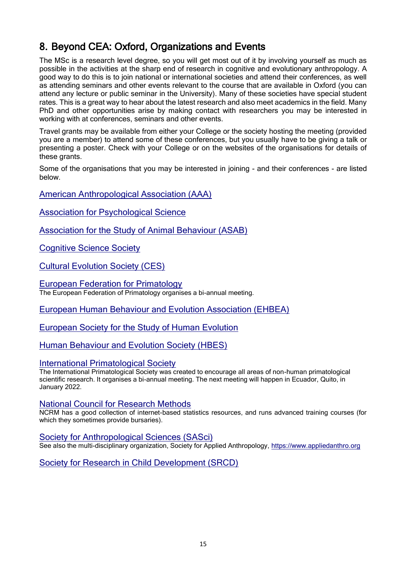## 8. Beyond CEA: Oxford, Organizations and Events

The MSc is a research level degree, so you will get most out of it by involving yourself as much as possible in the activities at the sharp end of research in cognitive and evolutionary anthropology. A good way to do this is to join national or international societies and attend their conferences, as well as attending seminars and other events relevant to the course that are available in Oxford (you can attend any lecture or public seminar in the University). Many of these societies have special student rates. This is a great way to hear about the latest research and also meet academics in the field. Many PhD and other opportunities arise by making contact with researchers you may be interested in working with at conferences, seminars and other events.

Travel grants may be available from either your College or the society hosting the meeting (provided you are a member) to attend some of these conferences, but you usually have to be giving a talk or presenting a poster. Check with your College or on the websites of the organisations for details of these grants.

Some of the organisations that you may be interested in joining - and their conferences - are listed below.

[American Anthropological Association \(AAA\)](https://www.americananthro.org/)

[Association for Psychological Science](https://www.psychologicalscience.org/)

[Association for the Study of Animal Behaviour \(ASAB\)](https://www.asab.org/)

[Cognitive Science Society](https://cognitivesciencesociety.org/)

[Cultural Evolution Society \(CES\)](https://culturalevolutionsociety.org/)

[European Federation for Primatology](https://www.efp-primatology.com/) The European Federation of Primatology organises a bi-annual meeting.

[European Human Behaviour and Evolution Association \(EHBEA\)](https://www.cambridge.org/core/membership/ehbea)

[European Society for the Study of Human Evolution](https://www.eshe.eu/)

[Human Behaviour and Evolution Society \(HBES\)](https://www.hbes.com/)

#### [International Primatological Society](http://www.internationalprimatologicalsociety.org/)

The International Primatological Society was created to encourage all areas of non-human primatological scientific research. It organises a bi-annual meeting. The next meeting will happen in Ecuador, Quito, in January 2022.

#### [National Council for Research Methods](https://www.ncrm.ac.uk/)

NCRM has a good collection of internet-based statistics resources, and runs advanced training courses (for which they sometimes provide bursaries).

#### [Society for Anthropological Sciences \(SASci\)](https://anthropologicalsciences.blogspot.com/)

See also the multi-disciplinary organization, Society for Applied Anthropology, [https://www.appliedanthro.org](https://www.appliedanthro.org/)

[Society for Research in Child Development \(SRCD\)](https://www.srcd.org/)